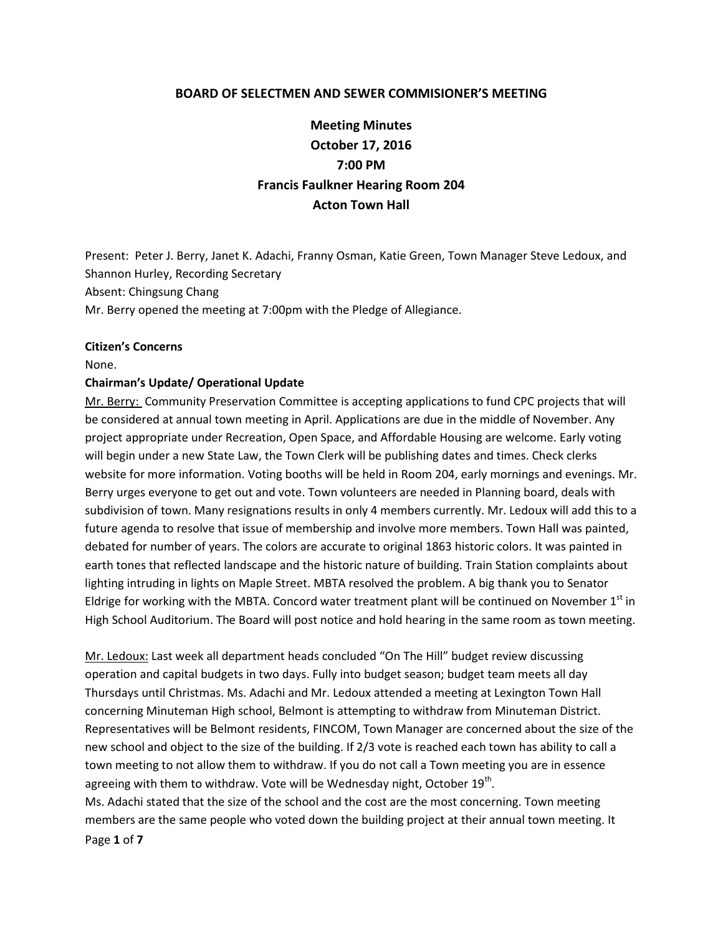#### **BOARD OF SELECTMEN AND SEWER COMMISIONER'S MEETING**

# **Meeting Minutes October 17, 2016 7:00 PM Francis Faulkner Hearing Room 204 Acton Town Hall**

Present: Peter J. Berry, Janet K. Adachi, Franny Osman, Katie Green, Town Manager Steve Ledoux, and Shannon Hurley, Recording Secretary Absent: Chingsung Chang Mr. Berry opened the meeting at 7:00pm with the Pledge of Allegiance.

#### **Citizen's Concerns**

None.

#### **Chairman's Update/ Operational Update**

Mr. Berry: Community Preservation Committee is accepting applications to fund CPC projects that will be considered at annual town meeting in April. Applications are due in the middle of November. Any project appropriate under Recreation, Open Space, and Affordable Housing are welcome. Early voting will begin under a new State Law, the Town Clerk will be publishing dates and times. Check clerks website for more information. Voting booths will be held in Room 204, early mornings and evenings. Mr. Berry urges everyone to get out and vote. Town volunteers are needed in Planning board, deals with subdivision of town. Many resignations results in only 4 members currently. Mr. Ledoux will add this to a future agenda to resolve that issue of membership and involve more members. Town Hall was painted, debated for number of years. The colors are accurate to original 1863 historic colors. It was painted in earth tones that reflected landscape and the historic nature of building. Train Station complaints about lighting intruding in lights on Maple Street. MBTA resolved the problem. A big thank you to Senator Eldrige for working with the MBTA. Concord water treatment plant will be continued on November  $1<sup>st</sup>$  in High School Auditorium. The Board will post notice and hold hearing in the same room as town meeting.

Mr. Ledoux: Last week all department heads concluded "On The Hill" budget review discussing operation and capital budgets in two days. Fully into budget season; budget team meets all day Thursdays until Christmas. Ms. Adachi and Mr. Ledoux attended a meeting at Lexington Town Hall concerning Minuteman High school, Belmont is attempting to withdraw from Minuteman District. Representatives will be Belmont residents, FINCOM, Town Manager are concerned about the size of the new school and object to the size of the building. If 2/3 vote is reached each town has ability to call a town meeting to not allow them to withdraw. If you do not call a Town meeting you are in essence agreeing with them to withdraw. Vote will be Wednesday night, October 19<sup>th</sup>.

Page **1** of **7** Ms. Adachi stated that the size of the school and the cost are the most concerning. Town meeting members are the same people who voted down the building project at their annual town meeting. It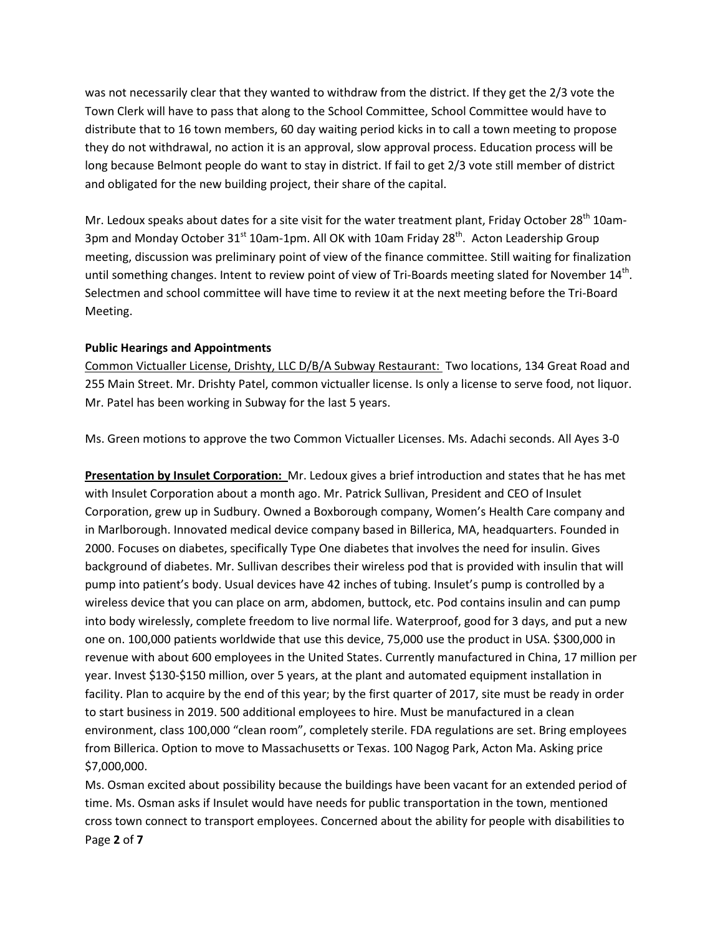was not necessarily clear that they wanted to withdraw from the district. If they get the 2/3 vote the Town Clerk will have to pass that along to the School Committee, School Committee would have to distribute that to 16 town members, 60 day waiting period kicks in to call a town meeting to propose they do not withdrawal, no action it is an approval, slow approval process. Education process will be long because Belmont people do want to stay in district. If fail to get 2/3 vote still member of district and obligated for the new building project, their share of the capital.

Mr. Ledoux speaks about dates for a site visit for the water treatment plant, Friday October 28<sup>th</sup> 10am-3pm and Monday October 31<sup>st</sup> 10am-1pm. All OK with 10am Friday 28<sup>th</sup>. Acton Leadership Group meeting, discussion was preliminary point of view of the finance committee. Still waiting for finalization until something changes. Intent to review point of view of Tri-Boards meeting slated for November 14<sup>th</sup>. Selectmen and school committee will have time to review it at the next meeting before the Tri-Board Meeting.

### **Public Hearings and Appointments**

Common Victualler License, Drishty, LLC D/B/A Subway Restaurant: Two locations, 134 Great Road and 255 Main Street. Mr. Drishty Patel, common victualler license. Is only a license to serve food, not liquor. Mr. Patel has been working in Subway for the last 5 years.

Ms. Green motions to approve the two Common Victualler Licenses. Ms. Adachi seconds. All Ayes 3-0

**Presentation by Insulet Corporation:** Mr. Ledoux gives a brief introduction and states that he has met with Insulet Corporation about a month ago. Mr. Patrick Sullivan, President and CEO of Insulet Corporation, grew up in Sudbury. Owned a Boxborough company, Women's Health Care company and in Marlborough. Innovated medical device company based in Billerica, MA, headquarters. Founded in 2000. Focuses on diabetes, specifically Type One diabetes that involves the need for insulin. Gives background of diabetes. Mr. Sullivan describes their wireless pod that is provided with insulin that will pump into patient's body. Usual devices have 42 inches of tubing. Insulet's pump is controlled by a wireless device that you can place on arm, abdomen, buttock, etc. Pod contains insulin and can pump into body wirelessly, complete freedom to live normal life. Waterproof, good for 3 days, and put a new one on. 100,000 patients worldwide that use this device, 75,000 use the product in USA. \$300,000 in revenue with about 600 employees in the United States. Currently manufactured in China, 17 million per year. Invest \$130-\$150 million, over 5 years, at the plant and automated equipment installation in facility. Plan to acquire by the end of this year; by the first quarter of 2017, site must be ready in order to start business in 2019. 500 additional employees to hire. Must be manufactured in a clean environment, class 100,000 "clean room", completely sterile. FDA regulations are set. Bring employees from Billerica. Option to move to Massachusetts or Texas. 100 Nagog Park, Acton Ma. Asking price \$7,000,000.

Page **2** of **7** Ms. Osman excited about possibility because the buildings have been vacant for an extended period of time. Ms. Osman asks if Insulet would have needs for public transportation in the town, mentioned cross town connect to transport employees. Concerned about the ability for people with disabilities to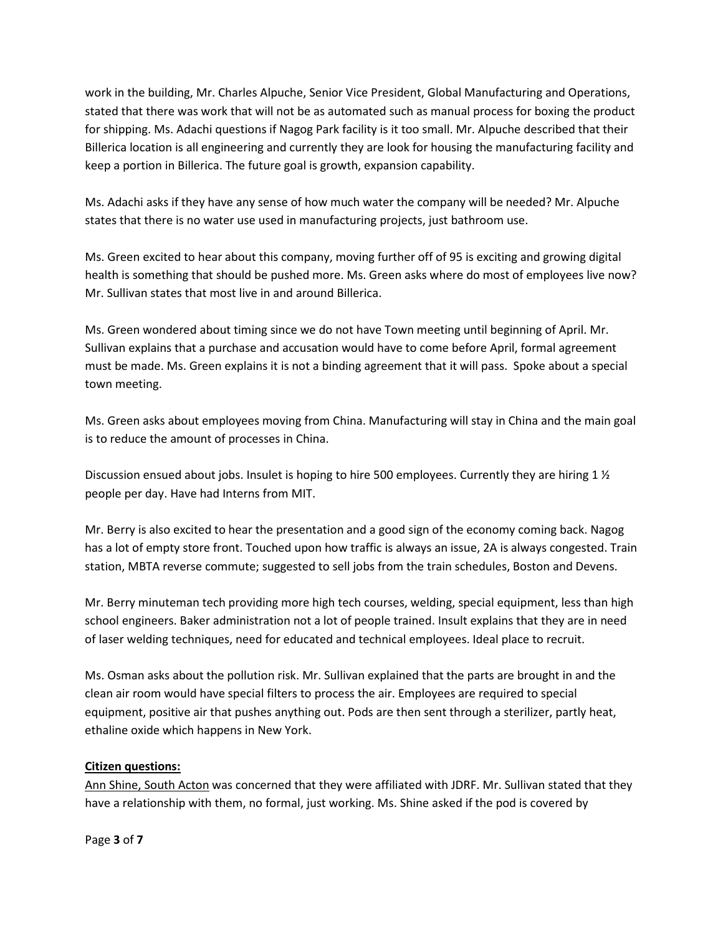work in the building, Mr. Charles Alpuche, Senior Vice President, Global Manufacturing and Operations, stated that there was work that will not be as automated such as manual process for boxing the product for shipping. Ms. Adachi questions if Nagog Park facility is it too small. Mr. Alpuche described that their Billerica location is all engineering and currently they are look for housing the manufacturing facility and keep a portion in Billerica. The future goal is growth, expansion capability.

Ms. Adachi asks if they have any sense of how much water the company will be needed? Mr. Alpuche states that there is no water use used in manufacturing projects, just bathroom use.

Ms. Green excited to hear about this company, moving further off of 95 is exciting and growing digital health is something that should be pushed more. Ms. Green asks where do most of employees live now? Mr. Sullivan states that most live in and around Billerica.

Ms. Green wondered about timing since we do not have Town meeting until beginning of April. Mr. Sullivan explains that a purchase and accusation would have to come before April, formal agreement must be made. Ms. Green explains it is not a binding agreement that it will pass. Spoke about a special town meeting.

Ms. Green asks about employees moving from China. Manufacturing will stay in China and the main goal is to reduce the amount of processes in China.

Discussion ensued about jobs. Insulet is hoping to hire 500 employees. Currently they are hiring 1  $\frac{1}{2}$ people per day. Have had Interns from MIT.

Mr. Berry is also excited to hear the presentation and a good sign of the economy coming back. Nagog has a lot of empty store front. Touched upon how traffic is always an issue, 2A is always congested. Train station, MBTA reverse commute; suggested to sell jobs from the train schedules, Boston and Devens.

Mr. Berry minuteman tech providing more high tech courses, welding, special equipment, less than high school engineers. Baker administration not a lot of people trained. Insult explains that they are in need of laser welding techniques, need for educated and technical employees. Ideal place to recruit.

Ms. Osman asks about the pollution risk. Mr. Sullivan explained that the parts are brought in and the clean air room would have special filters to process the air. Employees are required to special equipment, positive air that pushes anything out. Pods are then sent through a sterilizer, partly heat, ethaline oxide which happens in New York.

# **Citizen questions:**

Ann Shine, South Acton was concerned that they were affiliated with JDRF. Mr. Sullivan stated that they have a relationship with them, no formal, just working. Ms. Shine asked if the pod is covered by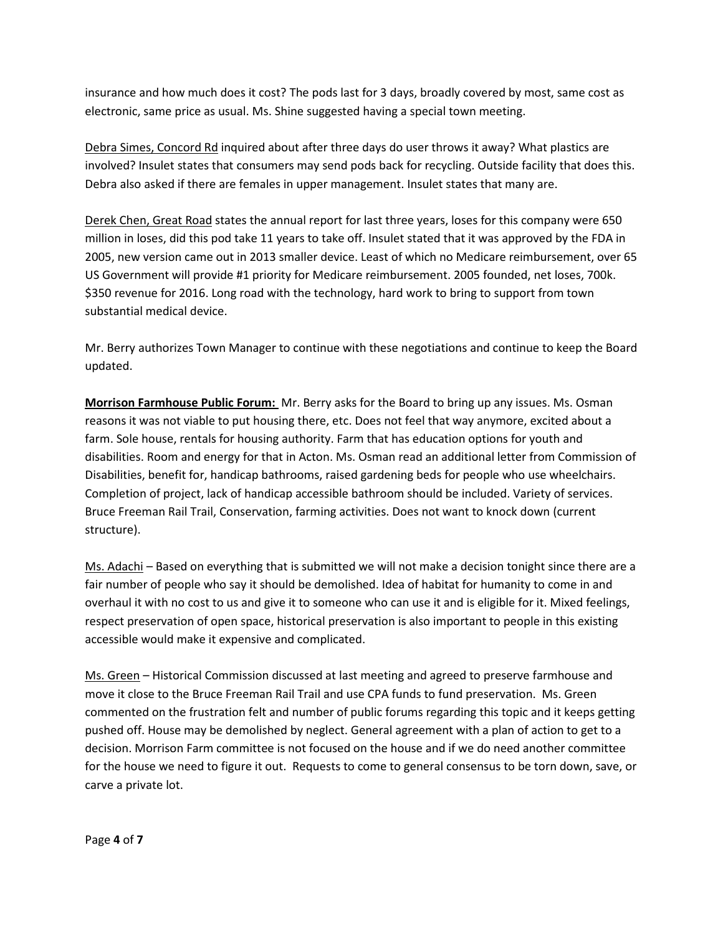insurance and how much does it cost? The pods last for 3 days, broadly covered by most, same cost as electronic, same price as usual. Ms. Shine suggested having a special town meeting.

Debra Simes, Concord Rd inquired about after three days do user throws it away? What plastics are involved? Insulet states that consumers may send pods back for recycling. Outside facility that does this. Debra also asked if there are females in upper management. Insulet states that many are.

Derek Chen, Great Road states the annual report for last three years, loses for this company were 650 million in loses, did this pod take 11 years to take off. Insulet stated that it was approved by the FDA in 2005, new version came out in 2013 smaller device. Least of which no Medicare reimbursement, over 65 US Government will provide #1 priority for Medicare reimbursement. 2005 founded, net loses, 700k. \$350 revenue for 2016. Long road with the technology, hard work to bring to support from town substantial medical device.

Mr. Berry authorizes Town Manager to continue with these negotiations and continue to keep the Board updated.

**Morrison Farmhouse Public Forum:** Mr. Berry asks for the Board to bring up any issues. Ms. Osman reasons it was not viable to put housing there, etc. Does not feel that way anymore, excited about a farm. Sole house, rentals for housing authority. Farm that has education options for youth and disabilities. Room and energy for that in Acton. Ms. Osman read an additional letter from Commission of Disabilities, benefit for, handicap bathrooms, raised gardening beds for people who use wheelchairs. Completion of project, lack of handicap accessible bathroom should be included. Variety of services. Bruce Freeman Rail Trail, Conservation, farming activities. Does not want to knock down (current structure).

Ms. Adachi – Based on everything that is submitted we will not make a decision tonight since there are a fair number of people who say it should be demolished. Idea of habitat for humanity to come in and overhaul it with no cost to us and give it to someone who can use it and is eligible for it. Mixed feelings, respect preservation of open space, historical preservation is also important to people in this existing accessible would make it expensive and complicated.

Ms. Green – Historical Commission discussed at last meeting and agreed to preserve farmhouse and move it close to the Bruce Freeman Rail Trail and use CPA funds to fund preservation. Ms. Green commented on the frustration felt and number of public forums regarding this topic and it keeps getting pushed off. House may be demolished by neglect. General agreement with a plan of action to get to a decision. Morrison Farm committee is not focused on the house and if we do need another committee for the house we need to figure it out. Requests to come to general consensus to be torn down, save, or carve a private lot.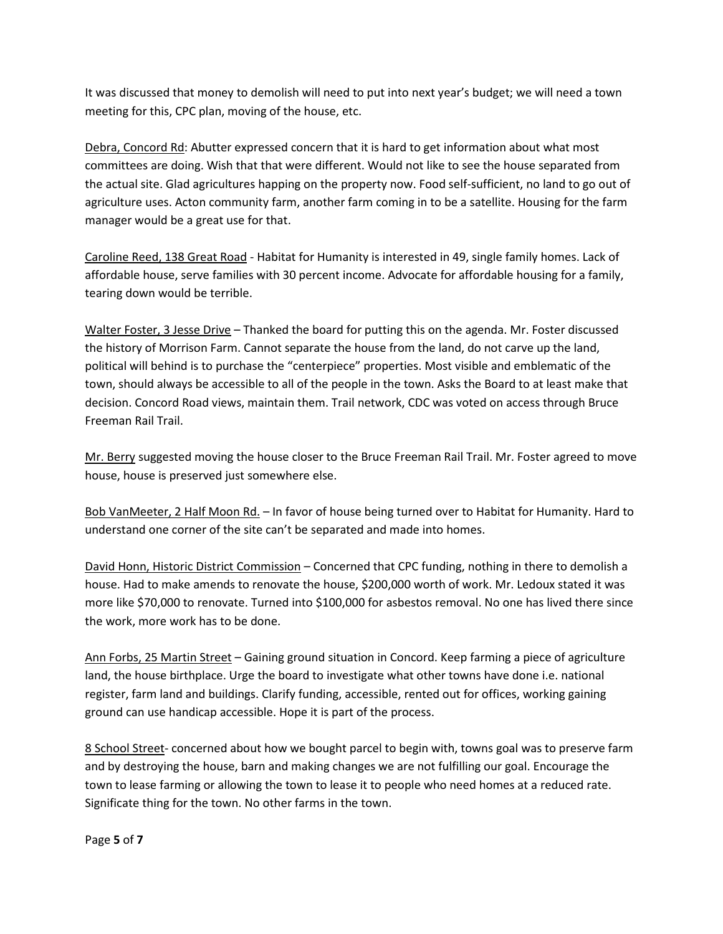It was discussed that money to demolish will need to put into next year's budget; we will need a town meeting for this, CPC plan, moving of the house, etc.

Debra, Concord Rd: Abutter expressed concern that it is hard to get information about what most committees are doing. Wish that that were different. Would not like to see the house separated from the actual site. Glad agricultures happing on the property now. Food self-sufficient, no land to go out of agriculture uses. Acton community farm, another farm coming in to be a satellite. Housing for the farm manager would be a great use for that.

Caroline Reed, 138 Great Road - Habitat for Humanity is interested in 49, single family homes. Lack of affordable house, serve families with 30 percent income. Advocate for affordable housing for a family, tearing down would be terrible.

Walter Foster, 3 Jesse Drive – Thanked the board for putting this on the agenda. Mr. Foster discussed the history of Morrison Farm. Cannot separate the house from the land, do not carve up the land, political will behind is to purchase the "centerpiece" properties. Most visible and emblematic of the town, should always be accessible to all of the people in the town. Asks the Board to at least make that decision. Concord Road views, maintain them. Trail network, CDC was voted on access through Bruce Freeman Rail Trail.

Mr. Berry suggested moving the house closer to the Bruce Freeman Rail Trail. Mr. Foster agreed to move house, house is preserved just somewhere else.

Bob VanMeeter, 2 Half Moon Rd. – In favor of house being turned over to Habitat for Humanity. Hard to understand one corner of the site can't be separated and made into homes.

David Honn, Historic District Commission – Concerned that CPC funding, nothing in there to demolish a house. Had to make amends to renovate the house, \$200,000 worth of work. Mr. Ledoux stated it was more like \$70,000 to renovate. Turned into \$100,000 for asbestos removal. No one has lived there since the work, more work has to be done.

Ann Forbs, 25 Martin Street – Gaining ground situation in Concord. Keep farming a piece of agriculture land, the house birthplace. Urge the board to investigate what other towns have done i.e. national register, farm land and buildings. Clarify funding, accessible, rented out for offices, working gaining ground can use handicap accessible. Hope it is part of the process.

8 School Street- concerned about how we bought parcel to begin with, towns goal was to preserve farm and by destroying the house, barn and making changes we are not fulfilling our goal. Encourage the town to lease farming or allowing the town to lease it to people who need homes at a reduced rate. Significate thing for the town. No other farms in the town.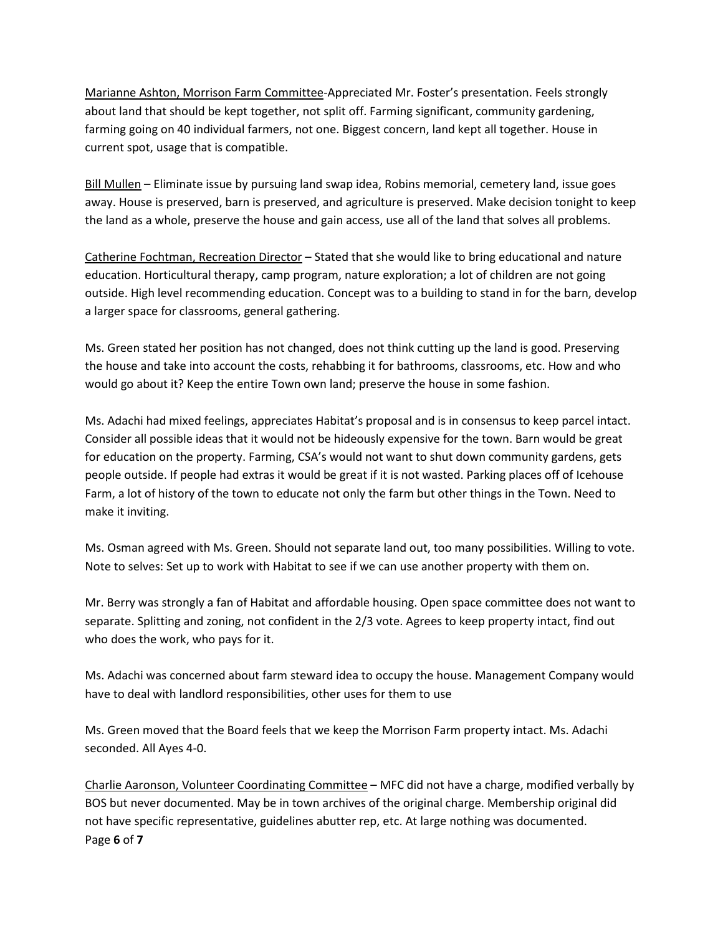Marianne Ashton, Morrison Farm Committee-Appreciated Mr. Foster's presentation. Feels strongly about land that should be kept together, not split off. Farming significant, community gardening, farming going on 40 individual farmers, not one. Biggest concern, land kept all together. House in current spot, usage that is compatible.

Bill Mullen – Eliminate issue by pursuing land swap idea, Robins memorial, cemetery land, issue goes away. House is preserved, barn is preserved, and agriculture is preserved. Make decision tonight to keep the land as a whole, preserve the house and gain access, use all of the land that solves all problems.

Catherine Fochtman, Recreation Director – Stated that she would like to bring educational and nature education. Horticultural therapy, camp program, nature exploration; a lot of children are not going outside. High level recommending education. Concept was to a building to stand in for the barn, develop a larger space for classrooms, general gathering.

Ms. Green stated her position has not changed, does not think cutting up the land is good. Preserving the house and take into account the costs, rehabbing it for bathrooms, classrooms, etc. How and who would go about it? Keep the entire Town own land; preserve the house in some fashion.

Ms. Adachi had mixed feelings, appreciates Habitat's proposal and is in consensus to keep parcel intact. Consider all possible ideas that it would not be hideously expensive for the town. Barn would be great for education on the property. Farming, CSA's would not want to shut down community gardens, gets people outside. If people had extras it would be great if it is not wasted. Parking places off of Icehouse Farm, a lot of history of the town to educate not only the farm but other things in the Town. Need to make it inviting.

Ms. Osman agreed with Ms. Green. Should not separate land out, too many possibilities. Willing to vote. Note to selves: Set up to work with Habitat to see if we can use another property with them on.

Mr. Berry was strongly a fan of Habitat and affordable housing. Open space committee does not want to separate. Splitting and zoning, not confident in the 2/3 vote. Agrees to keep property intact, find out who does the work, who pays for it.

Ms. Adachi was concerned about farm steward idea to occupy the house. Management Company would have to deal with landlord responsibilities, other uses for them to use

Ms. Green moved that the Board feels that we keep the Morrison Farm property intact. Ms. Adachi seconded. All Ayes 4-0.

Page **6** of **7** Charlie Aaronson, Volunteer Coordinating Committee – MFC did not have a charge, modified verbally by BOS but never documented. May be in town archives of the original charge. Membership original did not have specific representative, guidelines abutter rep, etc. At large nothing was documented.